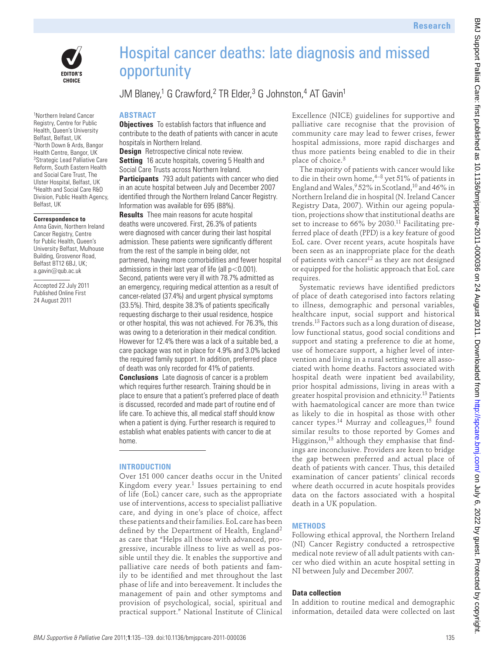



1 Northern Ireland Cancer Registry, Centre for Public Health, Queen's University Belfast, Belfast, UK 2North Down & Ards, Bangor Health Centre, Bangor, UK <sup>3</sup>Strategic Lead Palliative Care Reform, South Eastern Health and Social Care Trust, The Ulster Hospital, Belfast, UK 4Health and Social Care R&D Division, Public Health Agency, Belfast, UK

#### **Correspondence to**

Anna Gavin, Northern Ireland Cancer Registry, Centre for Public Health, Queen's University Belfast, Mulhouse Building, Grosvenor Road, Belfast BT12 6BJ, UK; a.gavin@qub.ac.uk

Accepted 22 July 2011 Published Online First 24 August 2011

# Hospital cancer deaths: late diagnosis and missed opportunity

## JM Blaney,<sup>1</sup> G Crawford,<sup>2</sup> TR Elder,<sup>3</sup> G Johnston,<sup>4</sup> AT Gavin<sup>1</sup>

#### **ABSTRACT**

**Objectives** To establish factors that influence and contribute to the death of patients with cancer in acute hospitals in Northern Ireland.

**Design** Retrospective clinical note review. **Setting** 16 acute hospitals, covering 5 Health and Social Care Trusts across Northern Ireland.

**Participants** 793 adult patients with cancer who died in an acute hospital between July and December 2007 identified through the Northern Ireland Cancer Registry. Information was available for 695 (88%).

**Results** Thee main reasons for acute hospital deaths were uncovered. First, 26.3% of patients were diagnosed with cancer during their last hospital admission. These patients were significantly different from the rest of the sample in being older, not partnered, having more comorbidities and fewer hospital admissions in their last year of life (all  $p < 0.001$ ). Second, patients were very ill with 78.7% admitted as an emergency, requiring medical attention as a result of cancer-related (37.4%) and urgent physical symptoms (33.5%). Third, despite 38.3% of patients specifically requesting discharge to their usual residence, hospice or other hospital, this was not achieved. For 76.3%, this was owing to a deterioration in their medical condition. However for 12.4% there was a lack of a suitable bed, a care package was not in place for 4.9% and 3.0% lacked the required family support. In addition, preferred place of death was only recorded for 41% of patients.

**Conclusions** Late diagnosis of cancer is a problem which requires further research. Training should be in place to ensure that a patient's preferred place of death is discussed, recorded and made part of routine end of life care. To achieve this, all medical staff should know when a patient is dying. Further research is required to establish what enables patients with cancer to die at home.

#### **INTRODUCTION**

Over 151 000 cancer deaths occur in the United Kingdom every year. $1$  Issues pertaining to end of life (EoL) cancer care, such as the appropriate use of interventions, access to specialist palliative care, and dying in one's place of choice, affect these patients and their families. EoL care has been defined by the Department of Health, England<sup>2</sup> as care that "Helps all those with advanced, progressive, incurable illness to live as well as possible until they die. It enables the supportive and palliative care needs of both patients and family to be identified and met throughout the last phase of life and into bereavement. It includes the management of pain and other symptoms and provision of psychological, social, spiritual and practical support." National Institute of Clinical

Excellence (NICE) guidelines for supportive and palliative care recognise that the provision of community care may lead to fewer crises, fewer hospital admissions, more rapid discharges and thus more patients being enabled to die in their place of choice.<sup>3</sup>

The majority of patients with cancer would like to die in their own home,  $4-8$  yet 51% of patients in England and Wales,  $952\%$  in Scotland,  $10$  and 46% in Northern Ireland die in hospital (N. Ireland Cancer Registry Data, 2007). Within our ageing population, projections show that institutional deaths are set to increase to 66% by 2030.<sup>11</sup> Facilitating preferred place of death (PPD) is a key feature of good EoL care. Over recent years, acute hospitals have been seen as an inappropriate place for the death of patients with cancer<sup>12</sup> as they are not designed or equipped for the holistic approach that EoL care requires.

Systematic reviews have identified predictors of place of death categorised into factors relating to illness, demographic and personal variables, healthcare input, social support and historical trends.13 Factors such as a long duration of disease, low functional status, good social conditions and support and stating a preference to die at home, use of homecare support, a higher level of intervention and living in a rural setting were all associated with home deaths. Factors associated with hospital death were inpatient bed availability, prior hospital admissions, living in areas with a greater hospital provision and ethnicity.13 Patients with haematological cancer are more than twice as likely to die in hospital as those with other cancer types.<sup>14</sup> Murray and colleagues,<sup>15</sup> found similar results to those reported by Gomes and Higginson,<sup>13</sup> although they emphasise that findings are inconclusive. Providers are keen to bridge the gap between preferred and actual place of death of patients with cancer. Thus, this detailed examination of cancer patients' clinical records where death occurred in acute hospitals provides data on the factors associated with a hospital death in a UK population. **Example 11**<br>
Supported cancer deaths: late diagnosis and missed<br>
opportunity<br>
Supported internal control in Results and the state of the proposition of the state of the state of the state of the state of the state of the

#### **METHODS**

Following ethical approval, the Northern Ireland (NI) Cancer Registry conducted a retrospective medical note review of all adult patients with cancer who died within an acute hospital setting in NI between July and December 2007.

#### **Data collection**

In addition to routine medical and demographic information, detailed data were collected on last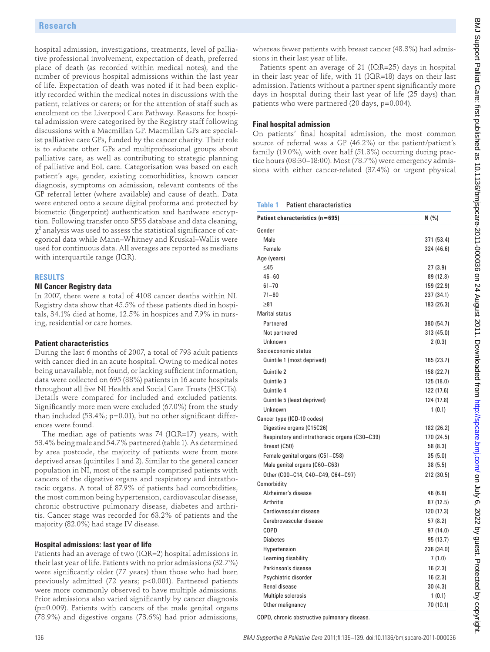#### **RESULTS**

### **NI Cancer Registry data**

#### **Patient characteristics**

#### **Hospital admissions: last year of life**

#### **Final hospital admission**

| hospital admission, investigations, treatments, level of pallia-<br>tive professional involvement, expectation of death, preferred<br>place of death (as recorded within medical notes), and the<br>number of previous hospital admissions within the last year<br>of life. Expectation of death was noted if it had been explic-<br>itly recorded within the medical notes in discussions with the | whereas fewer patients with breast cancer (48.3%) had admis-<br>sions in their last year of life.<br>Patients spent an average of 21 (IQR=25) days in hospital<br>in their last year of life, with 11 (IQR=18) days on their last<br>admission. Patients without a partner spent significantly more<br>days in hospital during their last year of life (25 days) than<br>patients who were partnered (20 days, p=0.004). |                          |
|-----------------------------------------------------------------------------------------------------------------------------------------------------------------------------------------------------------------------------------------------------------------------------------------------------------------------------------------------------------------------------------------------------|--------------------------------------------------------------------------------------------------------------------------------------------------------------------------------------------------------------------------------------------------------------------------------------------------------------------------------------------------------------------------------------------------------------------------|--------------------------|
| patient, relatives or carers; or for the attention of staff such as                                                                                                                                                                                                                                                                                                                                 |                                                                                                                                                                                                                                                                                                                                                                                                                          |                          |
| enrolment on the Liverpool Care Pathway. Reasons for hospi-                                                                                                                                                                                                                                                                                                                                         |                                                                                                                                                                                                                                                                                                                                                                                                                          |                          |
| tal admission were categorised by the Registry staff following                                                                                                                                                                                                                                                                                                                                      | <b>Final hospital admission</b><br>On patients' final hospital admission, the most common                                                                                                                                                                                                                                                                                                                                |                          |
| discussions with a Macmillan GP. Macmillan GPs are special-                                                                                                                                                                                                                                                                                                                                         |                                                                                                                                                                                                                                                                                                                                                                                                                          |                          |
| ist palliative care GPs, funded by the cancer charity. Their role                                                                                                                                                                                                                                                                                                                                   | source of referral was a GP (46.2%) or the patient/patient's                                                                                                                                                                                                                                                                                                                                                             |                          |
| is to educate other GPs and multiprofessional groups about                                                                                                                                                                                                                                                                                                                                          | family (19.0%), with over half (51.8%) occurring during prac-                                                                                                                                                                                                                                                                                                                                                            |                          |
| palliative care, as well as contributing to strategic planning                                                                                                                                                                                                                                                                                                                                      | tice hours (08:30-18:00). Most (78.7%) were emergency admis-                                                                                                                                                                                                                                                                                                                                                             |                          |
| of palliative and EoL care. Categorisation was based on each                                                                                                                                                                                                                                                                                                                                        | sions with either cancer-related (37.4%) or urgent physical                                                                                                                                                                                                                                                                                                                                                              |                          |
| patient's age, gender, existing comorbidities, known cancer<br>diagnosis, symptoms on admission, relevant contents of the                                                                                                                                                                                                                                                                           |                                                                                                                                                                                                                                                                                                                                                                                                                          |                          |
| GP referral letter (where available) and cause of death. Data                                                                                                                                                                                                                                                                                                                                       |                                                                                                                                                                                                                                                                                                                                                                                                                          |                          |
| were entered onto a secure digital proforma and protected by<br>biometric (fingerprint) authentication and hardware encryp-                                                                                                                                                                                                                                                                         | <b>Patient characteristics</b>                                                                                                                                                                                                                                                                                                                                                                                           |                          |
|                                                                                                                                                                                                                                                                                                                                                                                                     | Table 1                                                                                                                                                                                                                                                                                                                                                                                                                  |                          |
| tion. Following transfer onto SPSS database and data cleaning,                                                                                                                                                                                                                                                                                                                                      | Patient characteristics (n=695)                                                                                                                                                                                                                                                                                                                                                                                          | N(% )                    |
| $\chi^2$ analysis was used to assess the statistical significance of cat-                                                                                                                                                                                                                                                                                                                           | Gender                                                                                                                                                                                                                                                                                                                                                                                                                   |                          |
| egorical data while Mann-Whitney and Kruskal-Wallis were                                                                                                                                                                                                                                                                                                                                            | Male                                                                                                                                                                                                                                                                                                                                                                                                                     | 371 (53.4)               |
| used for continuous data. All averages are reported as medians<br>with interquartile range (IQR).                                                                                                                                                                                                                                                                                                   | Female                                                                                                                                                                                                                                                                                                                                                                                                                   | 324 (46.6)               |
|                                                                                                                                                                                                                                                                                                                                                                                                     | Age (years)<br>$\leq$ 45                                                                                                                                                                                                                                                                                                                                                                                                 | 27(3.9)                  |
| <b>RESULTS</b>                                                                                                                                                                                                                                                                                                                                                                                      | $46 - 60$                                                                                                                                                                                                                                                                                                                                                                                                                | 89 (12.8)                |
| <b>NI Cancer Registry data</b>                                                                                                                                                                                                                                                                                                                                                                      | $61 - 70$                                                                                                                                                                                                                                                                                                                                                                                                                | 159 (22.9)               |
| In 2007, there were a total of 4108 cancer deaths within NI.                                                                                                                                                                                                                                                                                                                                        | $71 - 80$                                                                                                                                                                                                                                                                                                                                                                                                                | 237 (34.1)               |
| Registry data show that 45.5% of these patients died in hospi-                                                                                                                                                                                                                                                                                                                                      | $\geq 81$                                                                                                                                                                                                                                                                                                                                                                                                                | 183 (26.3)               |
| tals, 34.1% died at home, 12.5% in hospices and 7.9% in nurs-                                                                                                                                                                                                                                                                                                                                       | <b>Marital status</b>                                                                                                                                                                                                                                                                                                                                                                                                    |                          |
| ing, residential or care homes.                                                                                                                                                                                                                                                                                                                                                                     | Partnered                                                                                                                                                                                                                                                                                                                                                                                                                | 380 (54.7)               |
|                                                                                                                                                                                                                                                                                                                                                                                                     | Not partnered                                                                                                                                                                                                                                                                                                                                                                                                            | 313 (45.0)               |
| <b>Patient characteristics</b>                                                                                                                                                                                                                                                                                                                                                                      | Unknown                                                                                                                                                                                                                                                                                                                                                                                                                  | 2(0.3)                   |
| During the last 6 months of 2007, a total of 793 adult patients                                                                                                                                                                                                                                                                                                                                     | Socioeconomic status                                                                                                                                                                                                                                                                                                                                                                                                     |                          |
| with cancer died in an acute hospital. Owing to medical notes                                                                                                                                                                                                                                                                                                                                       | Quintile 1 (most deprived)                                                                                                                                                                                                                                                                                                                                                                                               | 165 (23.7)               |
| being unavailable, not found, or lacking sufficient information,<br>data were collected on 695 (88%) patients in 16 acute hospitals                                                                                                                                                                                                                                                                 | Quintile 2                                                                                                                                                                                                                                                                                                                                                                                                               | 158 (22.7)               |
| throughout all five NI Health and Social Care Trusts (HSCTs).                                                                                                                                                                                                                                                                                                                                       | Quintile 3<br>Quintile 4                                                                                                                                                                                                                                                                                                                                                                                                 | 125 (18.0)<br>122 (17.6) |
| Details were compared for included and excluded patients.                                                                                                                                                                                                                                                                                                                                           | Quintile 5 (least deprived)                                                                                                                                                                                                                                                                                                                                                                                              | 124 (17.8)               |
| Significantly more men were excluded (67.0%) from the study                                                                                                                                                                                                                                                                                                                                         | Unknown                                                                                                                                                                                                                                                                                                                                                                                                                  | 1(0.1)                   |
| than included (53.4%; p=0.01), but no other significant differ-                                                                                                                                                                                                                                                                                                                                     | Cancer type (ICD-10 codes)                                                                                                                                                                                                                                                                                                                                                                                               |                          |
| ences were found.                                                                                                                                                                                                                                                                                                                                                                                   | Digestive organs (C15C26)                                                                                                                                                                                                                                                                                                                                                                                                | 182 (26.2)               |
| The median age of patients was 74 (IQR=17) years, with                                                                                                                                                                                                                                                                                                                                              | Respiratory and intrathoracic organs (C30-C39)                                                                                                                                                                                                                                                                                                                                                                           | 170 (24.5)               |
| 53.4% being male and 54.7% partnered (table 1). As determined<br>by area postcode, the majority of patients were from more                                                                                                                                                                                                                                                                          | Breast (C50)                                                                                                                                                                                                                                                                                                                                                                                                             | 58 (8.3)                 |
| deprived areas (quintiles 1 and 2). Similar to the general cancer                                                                                                                                                                                                                                                                                                                                   | Female genital organs (C51-C58)                                                                                                                                                                                                                                                                                                                                                                                          | 35(5.0)                  |
| population in NI, most of the sample comprised patients with                                                                                                                                                                                                                                                                                                                                        | Male genital organs (C60-C63)                                                                                                                                                                                                                                                                                                                                                                                            | 38(5.5)                  |
| cancers of the digestive organs and respiratory and intratho-                                                                                                                                                                                                                                                                                                                                       | Other (C00-C14, C40-C49, C64-C97)<br>Comorbidity                                                                                                                                                                                                                                                                                                                                                                         | 212 (30.5)               |
| racic organs. A total of 87.9% of patients had comorbidities,                                                                                                                                                                                                                                                                                                                                       | Alzheimer's disease                                                                                                                                                                                                                                                                                                                                                                                                      | 46(6.6)                  |
| the most common being hypertension, cardiovascular disease,                                                                                                                                                                                                                                                                                                                                         | Arthritis                                                                                                                                                                                                                                                                                                                                                                                                                | 87 (12.5)                |
| chronic obstructive pulmonary disease, diabetes and arthri-                                                                                                                                                                                                                                                                                                                                         | Cardiovascular disease                                                                                                                                                                                                                                                                                                                                                                                                   | 120 (17.3)               |
| tis. Cancer stage was recorded for 63.2% of patients and the<br>majority (82.0%) had stage IV disease.                                                                                                                                                                                                                                                                                              | Cerebrovascular disease                                                                                                                                                                                                                                                                                                                                                                                                  | 57(8.2)                  |
|                                                                                                                                                                                                                                                                                                                                                                                                     | COPD                                                                                                                                                                                                                                                                                                                                                                                                                     | 97 (14.0)                |
| Hospital admissions: last year of life                                                                                                                                                                                                                                                                                                                                                              | <b>Diabetes</b>                                                                                                                                                                                                                                                                                                                                                                                                          | 95 (13.7)                |
| Patients had an average of two (IQR=2) hospital admissions in                                                                                                                                                                                                                                                                                                                                       | Hypertension                                                                                                                                                                                                                                                                                                                                                                                                             | 236 (34.0)               |
| their last year of life. Patients with no prior admissions (32.7%)                                                                                                                                                                                                                                                                                                                                  | Learning disability                                                                                                                                                                                                                                                                                                                                                                                                      | 7(1.0)                   |
| were significantly older (77 years) than those who had been                                                                                                                                                                                                                                                                                                                                         | Parkinson's disease                                                                                                                                                                                                                                                                                                                                                                                                      | 16(2.3)                  |
| previously admitted (72 years; p<0.001). Partnered patients                                                                                                                                                                                                                                                                                                                                         | Psychiatric disorder                                                                                                                                                                                                                                                                                                                                                                                                     | 16(2.3)                  |
| were more commonly observed to have multiple admissions.                                                                                                                                                                                                                                                                                                                                            | Renal disease<br>Multiple sclerosis                                                                                                                                                                                                                                                                                                                                                                                      | 30(4.3)<br>1(0.1)        |
| Prior admissions also varied significantly by cancer diagnosis                                                                                                                                                                                                                                                                                                                                      | Other malignancy                                                                                                                                                                                                                                                                                                                                                                                                         | 70 (10.1)                |
| $(p=0.009)$ . Patients with cancers of the male genital organs<br>(78.9%) and digestive organs (73.6%) had prior admissions,                                                                                                                                                                                                                                                                        | COPD, chronic obstructive pulmonary disease.                                                                                                                                                                                                                                                                                                                                                                             |                          |
|                                                                                                                                                                                                                                                                                                                                                                                                     |                                                                                                                                                                                                                                                                                                                                                                                                                          |                          |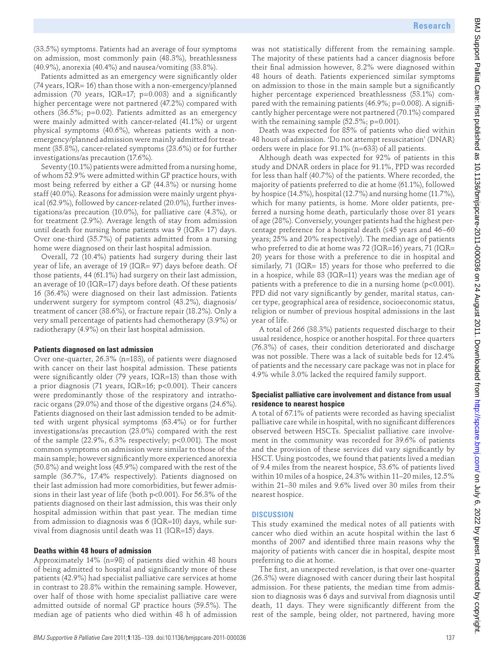(33.5%) symptoms. Patients had an average of four symptoms on admission, most commonly pain (48.3%), breathlessness (40.9%), anorexia (40.4%) and nausea/vomiting (33.8%).

Patients admitted as an emergency were significantly older (74 years, IQR= 16) than those with a non-emergency/planned admission (70 years, IQR=17;  $p=0.003$ ) and a significantly higher percentage were not partnered (47.2%) compared with others (36.5%; p=0.02). Patients admitted as an emergency were mainly admitted with cancer-related (41.1%) or urgent physical symptoms (40.6%), whereas patients with a nonemergency/planned admission were mainly admitted for treatment (35.8%), cancer-related symptoms (23.6%) or for further investigations/as precaution (17.6%).

Seventy (10.1%) patients were admitted from a nursing home, of whom 52.9% were admitted within GP practice hours, with most being referred by either a GP (44.3%) or nursing home staff (40.0%). Reasons for admission were mainly urgent physical (62.9%), followed by cancer-related (20.0%), further investigations/as precaution (10.0%), for palliative care (4.3%), or for treatment (2.9%). Average length of stay from admission until death for nursing home patients was  $9$  (IQR= 17) days. Over one-third (35.7%) of patients admitted from a nursing home were diagnosed on their last hospital admission.

Overall, 72 (10.4%) patients had surgery during their last year of life, an average of 19 (IQR= 97) days before death. Of those patients, 44 (61.1%) had surgery on their last admission, an average of 10 (IQR=17) days before death. Of these patients 16 (36.4%) were diagnosed on their last admission. Patients underwent surgery for symptom control (43.2%), diagnosis/ treatment of cancer (38.6%), or fracture repair (18.2%). Only a very small percentage of patients had chemotherapy (3.9%) or radiotherapy (4.9%) on their last hospital admission.

#### **Patients diagnosed on last admission**

Over one-quarter, 26.3% (n=183), of patients were diagnosed with cancer on their last hospital admission. These patients were significantly older (79 years, IQR=13) than those with a prior diagnosis (71 years, IQR=16; p<0.001). Their cancers were predominantly those of the respiratory and intrathoracic organs (29.0%) and those of the digestive organs (24.6%). Patients diagnosed on their last admission tended to be admitted with urgent physical symptoms (63.4%) or for further investigations/as precaution (23.0%) compared with the rest of the sample (22.9%, 6.3% respectively; p<0.001). The most common symptoms on admission were similar to those of the main sample; however significantly more experienced anorexia (50.8%) and weight loss (45.9%) compared with the rest of the sample (36.7%, 17.4% respectively). Patients diagnosed on their last admission had more comorbidities, but fewer admissions in their last year of life (both p<0.001). For 56.3% of the patients diagnosed on their last admission, this was their only hospital admission within that past year. The median time from admission to diagnosis was 6 (IQR=10) days, while survival from diagnosis until death was 11 (IQR=15) days. 69.32. Comparison behind of the projective constraints of the projective filler in the constraints of the state of the state of the state of the state of the state of the state of the state of the state of the state of th

#### **Deaths within 48 hours of admission**

Approximately 14% (n=98) of patients died within 48 hours of being admitted to hospital and significantly more of these patients (42.9%) had specialist palliative care services at home in contrast to 28.8% within the remaining sample. However, over half of those with home specialist palliative care were admitted outside of normal GP practice hours (59.5%). The median age of patients who died within 48 h of admission

was not statistically different from the remaining sample. The majority of these patients had a cancer diagnosis before their final admission however, 8.2% were diagnosed within 48 hours of death. Patients experienced similar symptoms on admission to those in the main sample but a significantly higher percentage experienced breathlessness (53.1%) compared with the remaining patients  $(46.9\%; p=0.008)$ . A significantly higher percentage were not partnered (70.1%) compared with the remaining sample  $(52.5\%; p=0.001)$ .

Death was expected for 85% of patients who died within 48 hours of admission. 'Do not attempt resuscitation' (DNAR) orders were in place for 91.1% (n=633) of all patients.

Although death was expected for 92% of patients in this study and DNAR orders in place for 91.1%, PPD was recorded for less than half (40.7%) of the patients. Where recorded, the majority of patients preferred to die at home (61.1%), followed by hospice (14.5%), hospital (12.7%) and nursing home (11.7%), which for many patients, is home. More older patients, preferred a nursing home death, particularly those over 81 years of age (28%). Conversely, younger patients had the highest percentage preference for a hospital death (≤45 years and 46–60 years; 25% and 20% respectively). The median age of patients who preferred to die at home was 72 (IQR=16) years, 71 (IQR= 20) years for those with a preference to die in hospital and similarly, 71 (IQR= 15) years for those who preferred to die in a hospice, while 83 (IQR=11) years was the median age of patients with a preference to die in a nursing home (p<0.001). PPD did not vary significantly by gender, marital status, cancer type, geographical area of residence, socioeconomic status, religion or number of previous hospital admissions in the last year of life.

A total of 266 (38.3%) patients requested discharge to their usual residence, hospice or another hospital. For three quarters (76.3%) of cases, their condition deteriorated and discharge was not possible. There was a lack of suitable beds for 12.4% of patients and the necessary care package was not in place for 4.9% while 3.0% lacked the required family support.

#### **Specialist palliative care involvement and distance from usual residence to nearest hospice**

A total of 67.1% of patients were recorded as having specialist palliative care while in hospital, with no significant differences observed between HSCTs. Specialist palliative care involvement in the community was recorded for 39.6% of patients and the provision of these services did vary significantly by HSCT. Using postcodes, we found that patients lived a median of 9.4 miles from the nearest hospice, 53.6% of patients lived within 10 miles of a hospice, 24.3% within 11–20 miles, 12.5% within 21–30 miles and 9.6% lived over 30 miles from their nearest hospice.

#### **DISCUSSION**

This study examined the medical notes of all patients with cancer who died within an acute hospital within the last 6 months of 2007 and identified three main reasons why the majority of patients with cancer die in hospital, despite most preferring to die at home.

The first, an unexpected revelation, is that over one-quarter (26.3%) were diagnosed with cancer during their last hospital admission. For these patients, the median time from admission to diagnosis was 6 days and survival from diagnosis until death, 11 days. They were significantly different from the rest of the sample, being older, not partnered, having more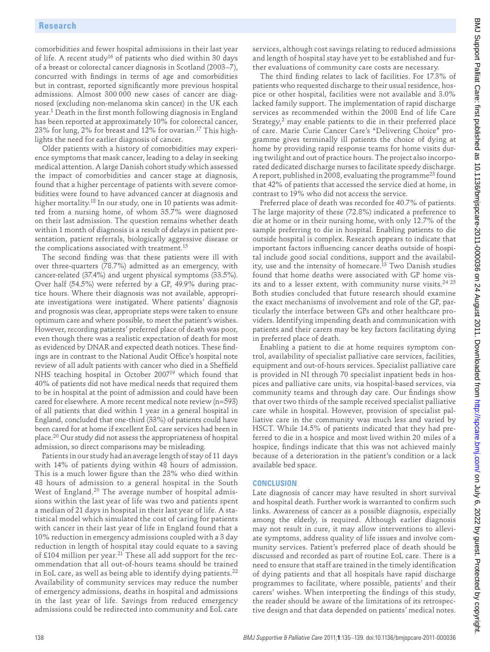comorbidities and fewer hospital admissions in their last year of life. A recent study<sup>16</sup> of patients who died within 30 days of a breast or colorectal cancer diagnosis in Scotland (2003–7), concurred with findings in terms of age and comorbidities but in contrast, reported significantly more previous hospital admissions. Almost 300 000 new cases of cancer are diagnosed (excluding non-melanoma skin cancer) in the UK each year.<sup>1</sup> Death in the first month following diagnosis in England has been reported at approximately 10% for colorectal cancer, 23% for lung, 2% for breast and 12% for ovarian.17 This highlights the need for earlier diagnosis of cancer.

Older patients with a history of comorbidities may experience symptoms that mask cancer, leading to a delay in seeking medical attention. A large Danish cohort study which assessed the impact of comorbidities and cancer stage at diagnosis, found that a higher percentage of patients with severe comorbidities were found to have advanced cancer at diagnosis and higher mortality.<sup>18</sup> In our study, one in 10 patients was admitted from a nursing home, of whom 35.7% were diagnosed on their last admission. The question remains whether death within 1 month of diagnosis is a result of delays in patient presentation, patient referrals, biologically aggressive disease or the complications associated with treatment.15

The second finding was that these patients were ill with over three-quarters (78.7%) admitted as an emergency, with cancer-related (37.4%) and urgent physical symptoms (33.5%). Over half (54.5%) were referred by a GP, 49.9% during practice hours. Where their diagnosis was not available, appropriate investigations were instigated. Where patients' diagnosis and prognosis was clear, appropriate steps were taken to ensure optimum care and where possible, to meet the patient's wishes. However, recording patients' preferred place of death was poor, even though there was a realistic expectation of death for most as evidenced by DNAR and expected death notices. These findings are in contrast to the National Audit Office's hospital note review of all adult patients with cancer who died in a Sheffield NHS teaching hospital in October 200719 which found that 40% of patients did not have medical needs that required them to be in hospital at the point of admission and could have been cared for elsewhere. A more recent medical note review (n=593) of all patients that died within 1 year in a general hospital in England, concluded that one-third (33%) of patients could have been cared for at home if excellent EoL care services had been in place.20 Our study did not assess the appropriateness of hospital admission, so direct comparisons may be misleading. Received here. This is the following form of the state in the state in the state in the state in the state in the state in the state in the state in the state in the state in the state in the state in the state in the sta

Patients in our study had an average length of stay of 11 days with 14% of patients dying within 48 hours of admission. This is a much lower figure than the 23% who died within 48 hours of admission to a general hospital in the South West of England.<sup>20</sup> The average number of hospital admissions within the last year of life was two and patients spent a median of 21 days in hospital in their last year of life. A statistical model which simulated the cost of caring for patients with cancer in their last year of life in England found that a 10% reduction in emergency admissions coupled with a 3 day reduction in length of hospital stay could equate to a saving of £104 million per year.<sup>21</sup> These all add support for the recommendation that all out-of-hours teams should be trained in EoL care, as well as being able to identify dying patients.<sup>22</sup> Availability of community services may reduce the number of emergency admissions, deaths in hospital and admissions in the last year of life. Savings from reduced emergency admissions could be redirected into community and EoL care

services, although cost savings relating to reduced admissions and length of hospital stay have yet to be established and further evaluations of community care costs are necessary.

The third finding relates to lack of facilities. For 17.3% of patients who requested discharge to their usual residence, hospice or other hospital, facilities were not available and 3.0% lacked family support. The implementation of rapid discharge services as recommended within the 2008 End of life Care Strategy,<sup>2</sup> may enable patients to die in their preferred place of care. Marie Curie Cancer Care's "Delivering Choice" programme gives terminally ill patients the choice of dying at home by providing rapid response teams for home visits during twilight and out of practice hours. The project also incorporated dedicated discharge nurses to facilitate speedy discharge. A report, published in 2008, evaluating the programme<sup>23</sup> found that 42% of patients that accessed the service died at home, in contrast to 19% who did not access the service.

Preferred place of death was recorded for 40.7% of patients. The large majority of these (72.8%) indicated a preference to die at home or in their nursing home, with only 12.7% of the sample preferring to die in hospital. Enabling patients to die outside hospital is complex. Research appears to indicate that important factors influencing cancer deaths outside of hospital include good social conditions, support and the availability, use and the intensity of homecare.<sup>13</sup> Two Danish studies found that home deaths were associated with GP home visits and to a lesser extent, with community nurse visits.<sup>24 25</sup> Both studies concluded that future research should examine the exact mechanisms of involvement and role of the GP, particularly the interface between GPs and other healthcare providers. Identifying impending death and communication with patients and their carers may be key factors facilitating dying in preferred place of death.

Enabling a patient to die at home requires symptom control, availability of specialist palliative care services, facilities, equipment and out-of-hours services. Specialist palliative care is provided in NI through 70 specialist inpatient beds in hospices and palliative care units, via hospital-based services, via community teams and through day care. Our findings show that over two thirds of the sample received specialist palliative care while in hospital. However, provision of specialist palliative care in the community was much less and varied by HSCT. While 14.5% of patients indicated that they had preferred to die in a hospice and most lived within 20 miles of a hospice, findings indicate that this was not achieved mainly because of a deterioration in the patient's condition or a lack available bed space.

#### **CONCLUSION**

Late diagnosis of cancer may have resulted in short survival and hospital death. Further work is warranted to confirm such links. Awareness of cancer as a possible diagnosis, especially among the elderly, is required. Although earlier diagnosis may not result in cure, it may allow interventions to alleviate symptoms, address quality of life issues and involve community services. Patient's preferred place of death should be discussed and recorded as part of routine EoL care. There is a need to ensure that staff are trained in the timely identification of dying patients and that all hospitals have rapid discharge programmes to facilitate, where possible, patients' and their carers' wishes. When interpreting the findings of this study, the reader should be aware of the limitations of its retrospective design and that data depended on patients' medical notes.